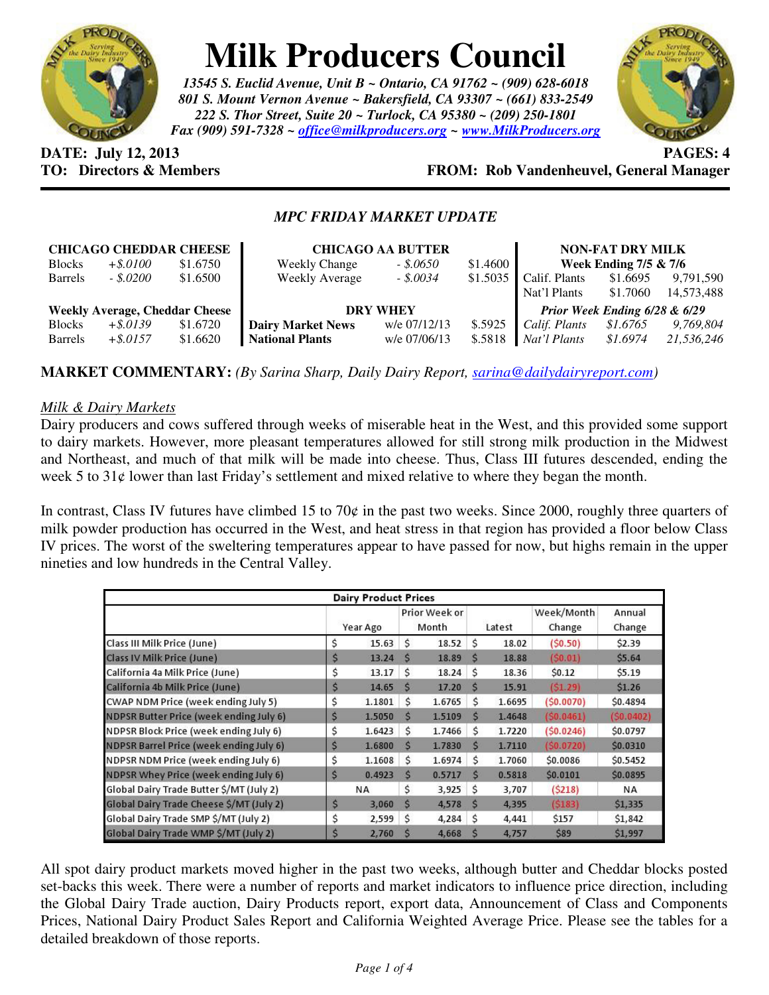

# **Milk Producers Council**

*13545 S. Euclid Avenue, Unit B ~ Ontario, CA 91762 ~ (909) 628-6018 801 S. Mount Vernon Avenue ~ Bakersfield, CA 93307 ~ (661) 833-2549 222 S. Thor Street, Suite 20 ~ Turlock, CA 95380 ~ (209) 250-1801 Fax (909) 591-7328 ~ office@milkproducers.org ~ www.MilkProducers.org*



**DATE: July 12, 2013 PAGES: 4** 

## **TO: Directors & Members FROM: Rob Vandenheuvel, General Manager**

### *MPC FRIDAY MARKET UPDATE*

| <b>CHICAGO CHEDDAR CHEESE</b>         |             |          | <b>CHICAGO AA BUTTER</b> | <b>NON-FAT DRY MILK</b>       |          |                       |          |            |
|---------------------------------------|-------------|----------|--------------------------|-------------------------------|----------|-----------------------|----------|------------|
| <b>Blocks</b>                         | $+$ \$.0100 | \$1.6750 | <b>Weekly Change</b>     | $-.50650$                     | \$1.4600 | Week Ending 7/5 & 7/6 |          |            |
| <b>Barrels</b>                        | $-.5.0200$  | \$1.6500 | Weekly Average           | $-.50034$                     | \$1.5035 | Calif. Plants         | \$1.6695 | 9,791,590  |
|                                       |             |          |                          |                               |          | Nat'l Plants          | \$1.7060 | 14,573,488 |
| <b>Weekly Average, Cheddar Cheese</b> |             |          | <b>DRY WHEY</b>          | Prior Week Ending 6/28 & 6/29 |          |                       |          |            |
| <b>Blocks</b>                         | $+$ \$.0139 | \$1.6720 | <b>Dairy Market News</b> | w/e 07/12/13                  | \$.5925  | Calif. Plants         | \$1.6765 | 9,769,804  |
| <b>Barrels</b>                        | $+$ \$.0157 | \$1.6620 | <b>National Plants</b>   | w/e 07/06/13                  | \$.5818  | Nat'l Plants          | \$1.6974 | 21,536,246 |

**MARKET COMMENTARY:** *(By Sarina Sharp, Daily Dairy Report, sarina@dailydairyreport.com)* 

#### *Milk & Dairy Markets*

Dairy producers and cows suffered through weeks of miserable heat in the West, and this provided some support to dairy markets. However, more pleasant temperatures allowed for still strong milk production in the Midwest and Northeast, and much of that milk will be made into cheese. Thus, Class III futures descended, ending the week 5 to 31¢ lower than last Friday's settlement and mixed relative to where they began the month.

In contrast, Class IV futures have climbed 15 to 70 $\varphi$  in the past two weeks. Since 2000, roughly three quarters of milk powder production has occurred in the West, and heat stress in that region has provided a floor below Class IV prices. The worst of the sweltering temperatures appear to have passed for now, but highs remain in the upper nineties and low hundreds in the Central Valley.

| <b>Dairy Product Prices</b>              |          |        |                        |        |        |        |                      |                  |  |
|------------------------------------------|----------|--------|------------------------|--------|--------|--------|----------------------|------------------|--|
|                                          | Year Ago |        | Prior Week or<br>Month |        | Latest |        | Week/Month<br>Change | Annual<br>Change |  |
| Class III Milk Price (June)              | Ś        | 15.63  | Ś                      | 18.52  | Ś      | 18.02  | (50.50)              | \$2.39           |  |
| Class IV Milk Price (June)               | \$       | 13.24  | S                      | 18.89  | S      | 18.88  | (50.01)              | \$5.64           |  |
| California 4a Milk Price (June)          | Ś        | 13.17  | Ś                      | 18.24  | Ś      | 18.36  | \$0.12               | \$5.19           |  |
| California 4b Milk Price (June)          | \$       | 14.65  | S                      | 17.20  | S      | 15.91  | (S1.29)              | \$1.26           |  |
| CWAP NDM Price (week ending July 5)      | \$       | 1.1801 | Ś                      | 1.6765 | Ś      | 1.6695 | (50.0070)            | \$0.4894         |  |
| NDPSR Butter Price (week ending July 6)  | \$       | 1.5050 | S                      | 1.5109 | S      | 1.4648 | (50.0461)            | (50.0402)        |  |
| NDPSR Block Price (week ending July 6)   | \$       | 1.6423 | Ś                      | 1.7466 | Ś      | 1.7220 | (50.0246)            | \$0.0797         |  |
| NDPSR Barrel Price (week ending July 6)  | \$       | 1.6800 | S                      | 1.7830 | Ś      | 1.7110 | (S0.0720)            | \$0.0310         |  |
| NDPSR NDM Price (week ending July 6)     | Ś        | 1.1608 | Ś                      | 1.6974 | Ś      | 1.7060 | \$0.0086             | \$0.5452         |  |
| NDPSR Whey Price (week ending July 6)    | \$       | 0.4923 | $\mathsf{s}$           | 0.5717 | S      | 0.5818 | \$0.0101             | \$0.0895         |  |
| Global Dairy Trade Butter \$/MT (July 2) |          | NA     | Ś                      | 3,925  | Ś      | 3,707  | (S218)               | NA               |  |
| Global Dairy Trade Cheese \$/MT (July 2) | \$       | 3,060  | S                      | 4,578  | S      | 4,395  | (5183)               | \$1,335          |  |
| Global Dairy Trade SMP \$/MT (July 2)    | \$       | 2,599  | Ś                      | 4,284  | Ś      | 4,441  | \$157                | \$1,842          |  |
| Global Dairy Trade WMP S/MT (July 2)     | Ś        | 2,760  | S                      | 4,668  | Ś      | 4,757  | <b>\$89</b>          | \$1,997          |  |

All spot dairy product markets moved higher in the past two weeks, although butter and Cheddar blocks posted set-backs this week. There were a number of reports and market indicators to influence price direction, including the Global Dairy Trade auction, Dairy Products report, export data, Announcement of Class and Components Prices, National Dairy Product Sales Report and California Weighted Average Price. Please see the tables for a detailed breakdown of those reports.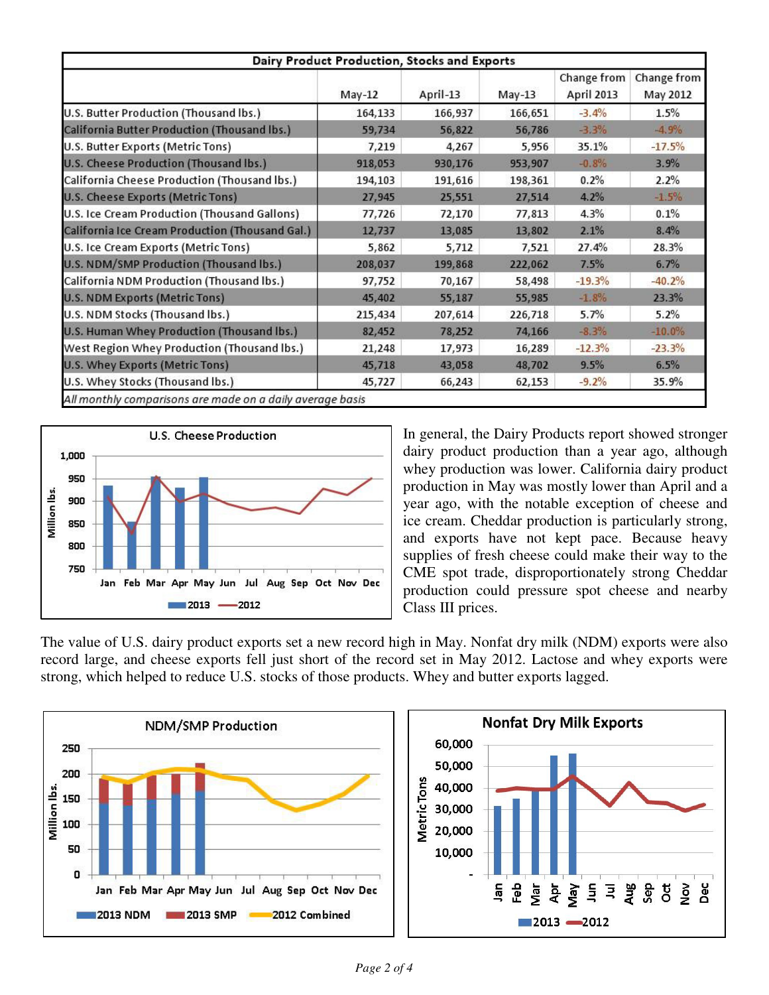| Dairy Product Production, Stocks and Exports               |          |          |          |                           |                         |  |  |
|------------------------------------------------------------|----------|----------|----------|---------------------------|-------------------------|--|--|
|                                                            | $May-12$ | April-13 | $May-13$ | Change from<br>April 2013 | Change from<br>May 2012 |  |  |
| U.S. Butter Production (Thousand Ibs.)                     | 164,133  | 166,937  | 166,651  | $-3.4%$                   | 1.5%                    |  |  |
| California Butter Production (Thousand Ibs.)               | 59,734   | 56,822   | 56,786   | $-3.3%$                   | $-4.9%$                 |  |  |
| U.S. Butter Exports (Metric Tons)                          | 7,219    | 4,267    | 5,956    | 35.1%                     | $-17.5%$                |  |  |
| U.S. Cheese Production (Thousand lbs.)                     | 918,053  | 930,176  | 953,907  | $-0.8%$                   | 3.9%                    |  |  |
| California Cheese Production (Thousand lbs.)               | 194,103  | 191,616  | 198,361  | 0.2%                      | 2.2%                    |  |  |
| U.S. Cheese Exports (Metric Tons)                          | 27,945   | 25,551   | 27,514   | 4.2%                      | $-1.5%$                 |  |  |
| U.S. Ice Cream Production (Thousand Gallons)               | 77,726   | 72,170   | 77,813   | 4.3%                      | 0.1%                    |  |  |
| California Ice Cream Production (Thousand Gal.)            | 12,737   | 13,085   | 13,802   | 2.1%                      | 8.4%                    |  |  |
| U.S. Ice Cream Exports (Metric Tons)                       | 5,862    | 5,712    | 7,521    | 27.4%                     | 28.3%                   |  |  |
| U.S. NDM/SMP Production (Thousand lbs.)                    | 208,037  | 199,868  | 222,062  | 7.5%                      | 6.7%                    |  |  |
| California NDM Production (Thousand lbs.)                  | 97,752   | 70,167   | 58,498   | $-19.3%$                  | $-40.2%$                |  |  |
| U.S. NDM Exports (Metric Tons)                             | 45,402   | 55,187   | 55,985   | $-1.8%$                   | 23.3%                   |  |  |
| U.S. NDM Stocks (Thousand lbs.)                            | 215,434  | 207,614  | 226,718  | 5.7%                      | 5.2%                    |  |  |
| U.S. Human Whey Production (Thousand lbs.)                 | 82,452   | 78,252   | 74,166   | $-8.3%$                   | $-10.0%$                |  |  |
| West Region Whey Production (Thousand Ibs.)                | 21,248   | 17,973   | 16,289   | $-12.3%$                  | $-23.3%$                |  |  |
| U.S. Whey Exports (Metric Tons)                            | 45,718   | 43,058   | 48,702   | 9.5%                      | 6.5%                    |  |  |
| U.S. Whey Stocks (Thousand Ibs.)                           | 45,727   | 66,243   | 62,153   | $-9.2%$                   | 35.9%                   |  |  |
| All monthly comparisons are made on a daily average basis. |          |          |          |                           |                         |  |  |



In general, the Dairy Products report showed stronger dairy product production than a year ago, although whey production was lower. California dairy product production in May was mostly lower than April and a year ago, with the notable exception of cheese and ice cream. Cheddar production is particularly strong, and exports have not kept pace. Because heavy supplies of fresh cheese could make their way to the CME spot trade, disproportionately strong Cheddar production could pressure spot cheese and nearby Class III prices.

The value of U.S. dairy product exports set a new record high in May. Nonfat dry milk (NDM) exports were also record large, and cheese exports fell just short of the record set in May 2012. Lactose and whey exports were strong, which helped to reduce U.S. stocks of those products. Whey and butter exports lagged.

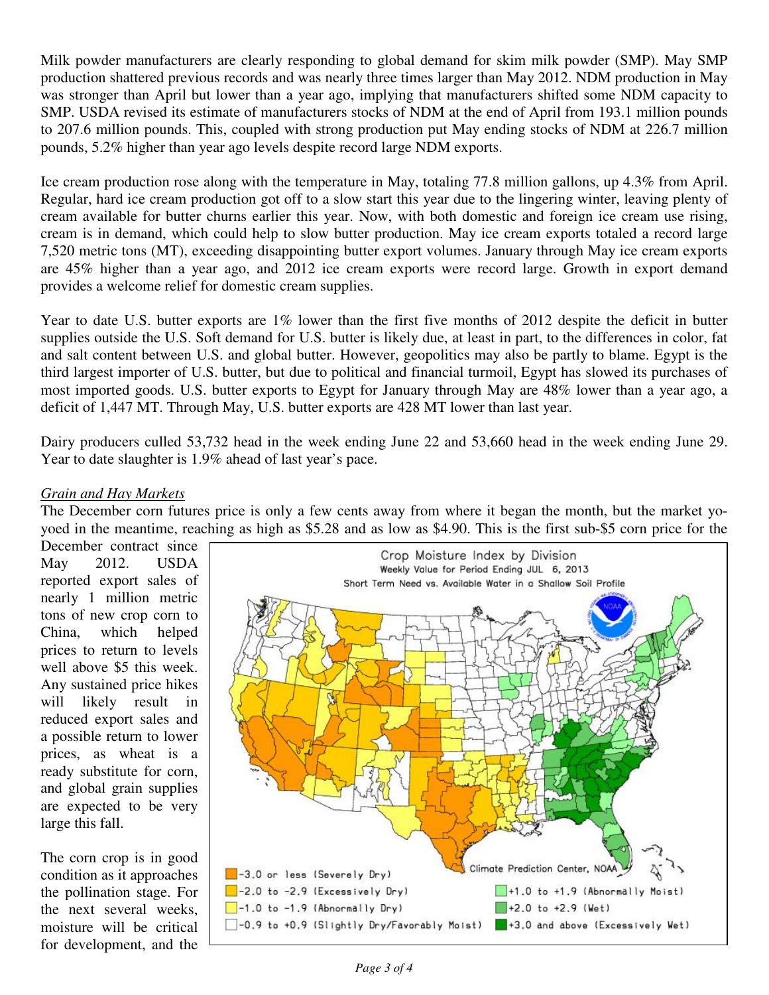Milk powder manufacturers are clearly responding to global demand for skim milk powder (SMP). May SMP production shattered previous records and was nearly three times larger than May 2012. NDM production in May was stronger than April but lower than a year ago, implying that manufacturers shifted some NDM capacity to SMP. USDA revised its estimate of manufacturers stocks of NDM at the end of April from 193.1 million pounds to 207.6 million pounds. This, coupled with strong production put May ending stocks of NDM at 226.7 million pounds, 5.2% higher than year ago levels despite record large NDM exports.

Ice cream production rose along with the temperature in May, totaling 77.8 million gallons, up 4.3% from April. Regular, hard ice cream production got off to a slow start this year due to the lingering winter, leaving plenty of cream available for butter churns earlier this year. Now, with both domestic and foreign ice cream use rising, cream is in demand, which could help to slow butter production. May ice cream exports totaled a record large 7,520 metric tons (MT), exceeding disappointing butter export volumes. January through May ice cream exports are 45% higher than a year ago, and 2012 ice cream exports were record large. Growth in export demand provides a welcome relief for domestic cream supplies.

Year to date U.S. butter exports are 1% lower than the first five months of 2012 despite the deficit in butter supplies outside the U.S. Soft demand for U.S. butter is likely due, at least in part, to the differences in color, fat and salt content between U.S. and global butter. However, geopolitics may also be partly to blame. Egypt is the third largest importer of U.S. butter, but due to political and financial turmoil, Egypt has slowed its purchases of most imported goods. U.S. butter exports to Egypt for January through May are 48% lower than a year ago, a deficit of 1,447 MT. Through May, U.S. butter exports are 428 MT lower than last year.

Dairy producers culled 53,732 head in the week ending June 22 and 53,660 head in the week ending June 29. Year to date slaughter is 1.9% ahead of last year's pace.

#### *Grain and Hay Markets*

The December corn futures price is only a few cents away from where it began the month, but the market yoyoed in the meantime, reaching as high as \$5.28 and as low as \$4.90. This is the first sub-\$5 corn price for the

December contract since May 2012. USDA reported export sales of nearly 1 million metric tons of new crop corn to China, which helped prices to return to levels well above \$5 this week. Any sustained price hikes will likely result in reduced export sales and a possible return to lower prices, as wheat is a ready substitute for corn, and global grain supplies are expected to be very large this fall.

The corn crop is in good condition as it approaches the pollination stage. For the next several weeks, moisture will be critical for development, and the